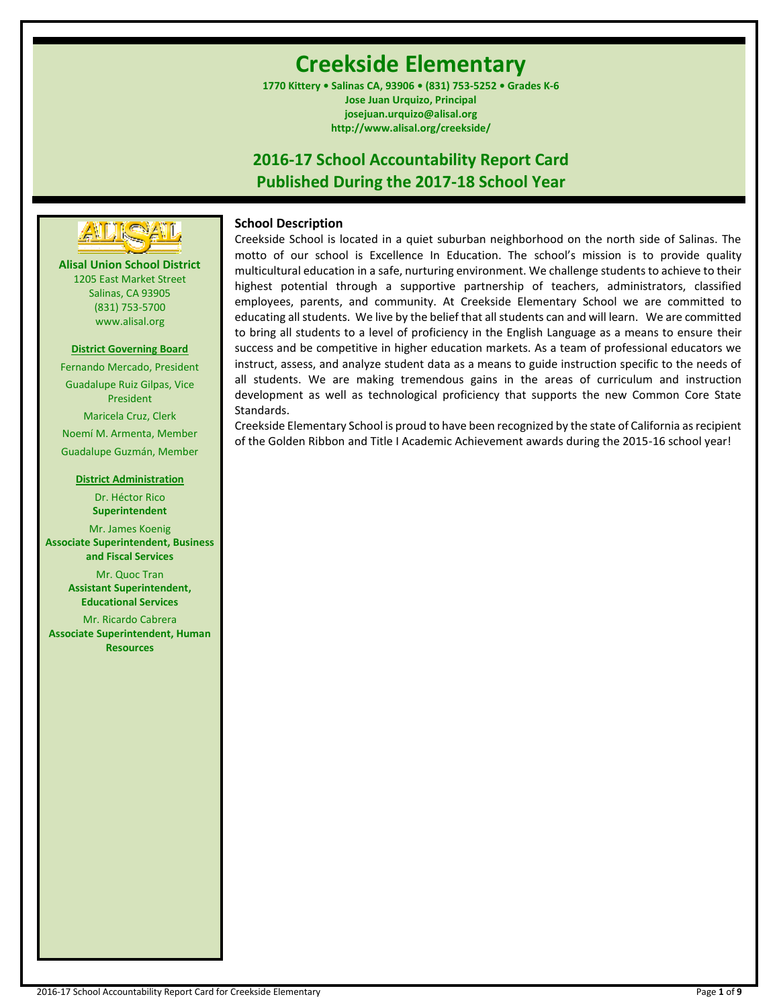# **Creekside Elementary**

**1770 Kittery • Salinas CA, 93906 • (831) 753-5252 • Grades K-6 Jose Juan Urquizo, Principal josejuan.urquizo@alisal.org http://www.alisal.org/creekside/**

## **2016-17 School Accountability Report Card Published During the 2017-18 School Year**



**Alisal Union School District** 1205 East Market Street Salinas, CA 93905 (831) 753-5700 www.alisal.org

## **District Governing Board**

Fernando Mercado, President Guadalupe Ruiz Gilpas, Vice President Maricela Cruz, Clerk Noemí M. Armenta, Member Guadalupe Guzmán, Member

#### **District Administration**

Dr. Héctor Rico **Superintendent** Mr. James Koenig **Associate Superintendent, Business and Fiscal Services** Mr. Quoc Tran

**Assistant Superintendent, Educational Services**

Mr. Ricardo Cabrera **Associate Superintendent, Human Resources**

## **School Description**

Creekside School is located in a quiet suburban neighborhood on the north side of Salinas. The motto of our school is Excellence In Education. The school's mission is to provide quality multicultural education in a safe, nurturing environment. We challenge students to achieve to their highest potential through a supportive partnership of teachers, administrators, classified employees, parents, and community. At Creekside Elementary School we are committed to educating all students. We live by the belief that all students can and will learn. We are committed to bring all students to a level of proficiency in the English Language as a means to ensure their success and be competitive in higher education markets. As a team of professional educators we instruct, assess, and analyze student data as a means to guide instruction specific to the needs of all students. We are making tremendous gains in the areas of curriculum and instruction development as well as technological proficiency that supports the new Common Core State Standards.

Creekside Elementary School is proud to have been recognized by the state of California as recipient of the Golden Ribbon and Title I Academic Achievement awards during the 2015-16 school year!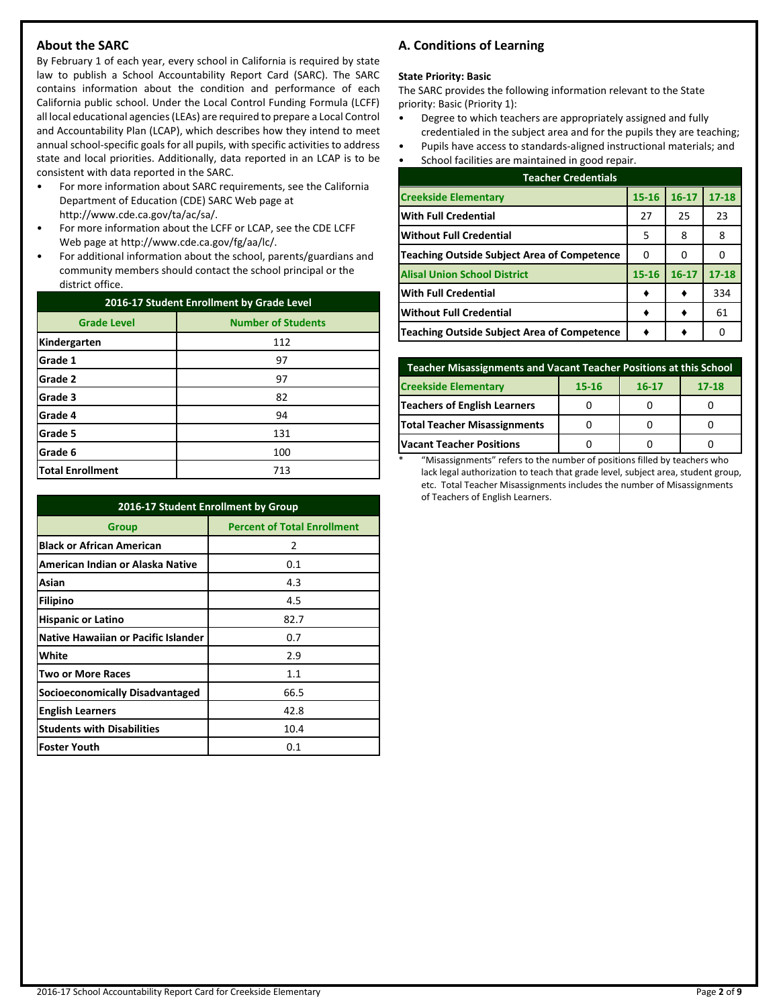## **About the SARC**

By February 1 of each year, every school in California is required by state law to publish a School Accountability Report Card (SARC). The SARC contains information about the condition and performance of each California public school. Under the Local Control Funding Formula (LCFF) all local educational agencies (LEAs) are required to prepare a Local Control and Accountability Plan (LCAP), which describes how they intend to meet annual school-specific goals for all pupils, with specific activities to address state and local priorities. Additionally, data reported in an LCAP is to be consistent with data reported in the SARC.

- For more information about SARC requirements, see the California Department of Education (CDE) SARC Web page at http://www.cde.ca.gov/ta/ac/sa/.
- For more information about the LCFF or LCAP, see the CDE LCFF Web page at http://www.cde.ca.gov/fg/aa/lc/.
- For additional information about the school, parents/guardians and community members should contact the school principal or the district office.

| 2016-17 Student Enrollment by Grade Level |                           |  |  |
|-------------------------------------------|---------------------------|--|--|
| <b>Grade Level</b>                        | <b>Number of Students</b> |  |  |
| Kindergarten                              | 112                       |  |  |
| Grade 1                                   | 97                        |  |  |
| Grade 2                                   | 97                        |  |  |
| Grade 3                                   | 82                        |  |  |
| Grade 4                                   | 94                        |  |  |
| Grade 5                                   | 131                       |  |  |
| Grade 6                                   | 100                       |  |  |
| <b>Total Enrollment</b>                   | 713                       |  |  |

| 2016-17 Student Enrollment by Group        |                                    |  |  |  |
|--------------------------------------------|------------------------------------|--|--|--|
| Group                                      | <b>Percent of Total Enrollment</b> |  |  |  |
| <b>Black or African American</b>           | 2                                  |  |  |  |
| American Indian or Alaska Native           | 0.1                                |  |  |  |
| Asian                                      | 4.3                                |  |  |  |
| Filipino                                   | 4.5                                |  |  |  |
| <b>Hispanic or Latino</b>                  | 82.7                               |  |  |  |
| <b>Native Hawaiian or Pacific Islander</b> | 0.7                                |  |  |  |
| White                                      | 2.9                                |  |  |  |
| <b>Two or More Races</b>                   | 1.1                                |  |  |  |
| Socioeconomically Disadvantaged            | 66.5                               |  |  |  |
| <b>English Learners</b>                    | 42.8                               |  |  |  |
| <b>Students with Disabilities</b>          | 10.4                               |  |  |  |
| <b>Foster Youth</b>                        | 0.1                                |  |  |  |

## **A. Conditions of Learning**

#### **State Priority: Basic**

The SARC provides the following information relevant to the State priority: Basic (Priority 1):

- Degree to which teachers are appropriately assigned and fully credentialed in the subject area and for the pupils they are teaching;
- Pupils have access to standards-aligned instructional materials; and
- School facilities are maintained in good repair.

| <b>Teacher Credentials</b>                         |           |           |           |  |  |  |
|----------------------------------------------------|-----------|-----------|-----------|--|--|--|
| <b>Creekside Elementary</b>                        | $15 - 16$ | $16 - 17$ | $17 - 18$ |  |  |  |
| <b>With Full Credential</b>                        | 27        | 25        | 23        |  |  |  |
| <b>Without Full Credential</b>                     | 5         | 8         | 8         |  |  |  |
| <b>Teaching Outside Subject Area of Competence</b> | O         | 0         |           |  |  |  |
| <b>Alisal Union School District</b>                | $15 - 16$ | $16 - 17$ | $17 - 18$ |  |  |  |
| <b>With Full Credential</b>                        |           |           | 334       |  |  |  |
| <b>Without Full Credential</b>                     |           |           | 61        |  |  |  |
| <b>Teaching Outside Subject Area of Competence</b> |           |           |           |  |  |  |

| <b>Teacher Misassignments and Vacant Teacher Positions at this School</b> |  |  |  |  |  |  |  |
|---------------------------------------------------------------------------|--|--|--|--|--|--|--|
| <b>Creekside Elementary</b><br>$17 - 18$<br>$16 - 17$<br>15-16            |  |  |  |  |  |  |  |
| <b>Teachers of English Learners</b>                                       |  |  |  |  |  |  |  |
| Total Teacher Misassignments                                              |  |  |  |  |  |  |  |
| <b>Vacant Teacher Positions</b>                                           |  |  |  |  |  |  |  |

\* "Misassignments" refers to the number of positions filled by teachers who lack legal authorization to teach that grade level, subject area, student group, etc. Total Teacher Misassignments includes the number of Misassignments of Teachers of English Learners.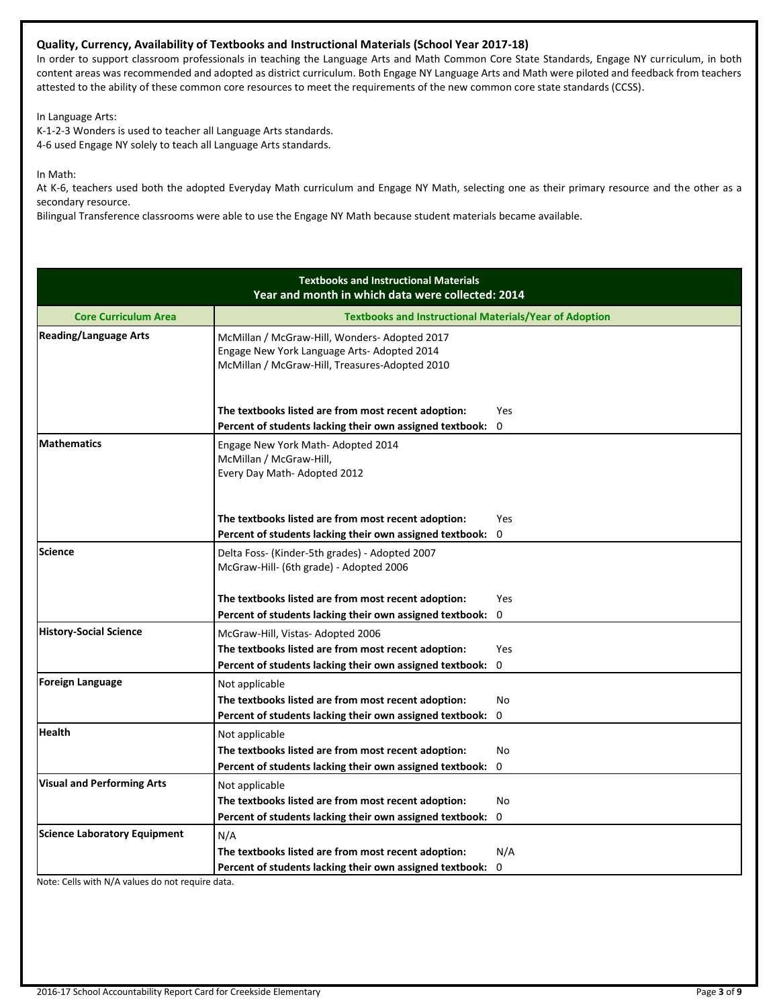## **Quality, Currency, Availability of Textbooks and Instructional Materials (School Year 2017-18)**

In order to support classroom professionals in teaching the Language Arts and Math Common Core State Standards, Engage NY curriculum, in both content areas was recommended and adopted as district curriculum. Both Engage NY Language Arts and Math were piloted and feedback from teachers attested to the ability of these common core resources to meet the requirements of the new common core state standards (CCSS).

In Language Arts:

K-1-2-3 Wonders is used to teacher all Language Arts standards. 4-6 used Engage NY solely to teach all Language Arts standards.

In Math:

At K-6, teachers used both the adopted Everyday Math curriculum and Engage NY Math, selecting one as their primary resource and the other as a secondary resource.

Bilingual Transference classrooms were able to use the Engage NY Math because student materials became available.

|                                     | <b>Textbooks and Instructional Materials</b><br>Year and month in which data were collected: 2014                                              |                            |
|-------------------------------------|------------------------------------------------------------------------------------------------------------------------------------------------|----------------------------|
| <b>Core Curriculum Area</b>         | <b>Textbooks and Instructional Materials/Year of Adoption</b>                                                                                  |                            |
| <b>Reading/Language Arts</b>        | McMillan / McGraw-Hill, Wonders- Adopted 2017<br>Engage New York Language Arts- Adopted 2014<br>McMillan / McGraw-Hill, Treasures-Adopted 2010 |                            |
|                                     | The textbooks listed are from most recent adoption:<br>Percent of students lacking their own assigned textbook:                                | <b>Yes</b><br>$\mathbf{0}$ |
| <b>Mathematics</b>                  | Engage New York Math- Adopted 2014<br>McMillan / McGraw-Hill,<br>Every Day Math-Adopted 2012                                                   |                            |
|                                     | The textbooks listed are from most recent adoption:                                                                                            | <b>Yes</b>                 |
|                                     | Percent of students lacking their own assigned textbook:                                                                                       | 0                          |
| <b>Science</b>                      | Delta Foss- (Kinder-5th grades) - Adopted 2007<br>McGraw-Hill- (6th grade) - Adopted 2006                                                      |                            |
|                                     | The textbooks listed are from most recent adoption:                                                                                            | Yes                        |
|                                     | Percent of students lacking their own assigned textbook:                                                                                       | $\mathbf 0$                |
| <b>History-Social Science</b>       | McGraw-Hill, Vistas-Adopted 2006                                                                                                               |                            |
|                                     | The textbooks listed are from most recent adoption:                                                                                            | Yes                        |
|                                     | Percent of students lacking their own assigned textbook:                                                                                       | $\mathbf 0$                |
| <b>Foreign Language</b>             | Not applicable                                                                                                                                 |                            |
|                                     | The textbooks listed are from most recent adoption:                                                                                            | No                         |
|                                     | Percent of students lacking their own assigned textbook:                                                                                       | $\Omega$                   |
| <b>Health</b>                       | Not applicable                                                                                                                                 |                            |
|                                     | The textbooks listed are from most recent adoption:                                                                                            | No                         |
|                                     | Percent of students lacking their own assigned textbook:                                                                                       | $\mathbf 0$                |
| <b>Visual and Performing Arts</b>   | Not applicable                                                                                                                                 |                            |
|                                     | The textbooks listed are from most recent adoption:                                                                                            | No                         |
|                                     | Percent of students lacking their own assigned textbook:                                                                                       | 0                          |
| <b>Science Laboratory Equipment</b> | N/A                                                                                                                                            |                            |
|                                     | The textbooks listed are from most recent adoption:                                                                                            | N/A                        |
|                                     | Percent of students lacking their own assigned textbook:                                                                                       | 0                          |

Note: Cells with N/A values do not require data.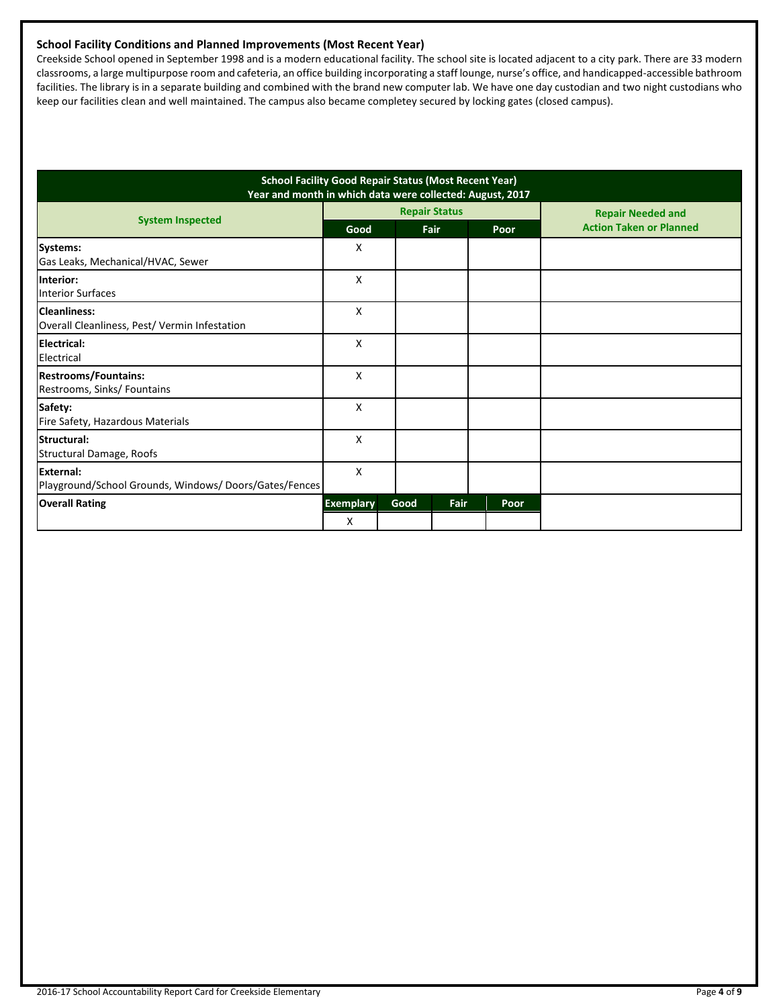## **School Facility Conditions and Planned Improvements (Most Recent Year)**

Creekside School opened in September 1998 and is a modern educational facility. The school site is located adjacent to a city park. There are 33 modern classrooms, a large multipurpose room and cafeteria, an office building incorporating a staff lounge, nurse's office, and handicapped-accessible bathroom facilities. The library is in a separate building and combined with the brand new computer lab. We have one day custodian and two night custodians who keep our facilities clean and well maintained. The campus also became completey secured by locking gates (closed campus).

| <b>School Facility Good Repair Status (Most Recent Year)</b><br>Year and month in which data were collected: August, 2017 |                       |                      |      |      |                                                            |
|---------------------------------------------------------------------------------------------------------------------------|-----------------------|----------------------|------|------|------------------------------------------------------------|
| <b>System Inspected</b>                                                                                                   | Good                  | <b>Repair Status</b> |      |      | <b>Repair Needed and</b><br><b>Action Taken or Planned</b> |
| Systems:<br>Gas Leaks, Mechanical/HVAC, Sewer                                                                             | X                     |                      | Fair | Poor |                                                            |
| <b>Interior:</b><br><b>Interior Surfaces</b>                                                                              | X                     |                      |      |      |                                                            |
| Cleanliness:<br>Overall Cleanliness, Pest/ Vermin Infestation                                                             | X                     |                      |      |      |                                                            |
| <b>IElectrical:</b><br>Electrical                                                                                         | X                     |                      |      |      |                                                            |
| <b>Restrooms/Fountains:</b><br>Restrooms, Sinks/ Fountains                                                                | X                     |                      |      |      |                                                            |
| Safety:<br>Fire Safety, Hazardous Materials                                                                               | X                     |                      |      |      |                                                            |
| Structural:<br>Structural Damage, Roofs                                                                                   | X                     |                      |      |      |                                                            |
| External:<br>Playground/School Grounds, Windows/Doors/Gates/Fences                                                        | X                     |                      |      |      |                                                            |
| <b>Overall Rating</b>                                                                                                     | <b>Exemplary</b><br>X | Good                 | Fair | Poor |                                                            |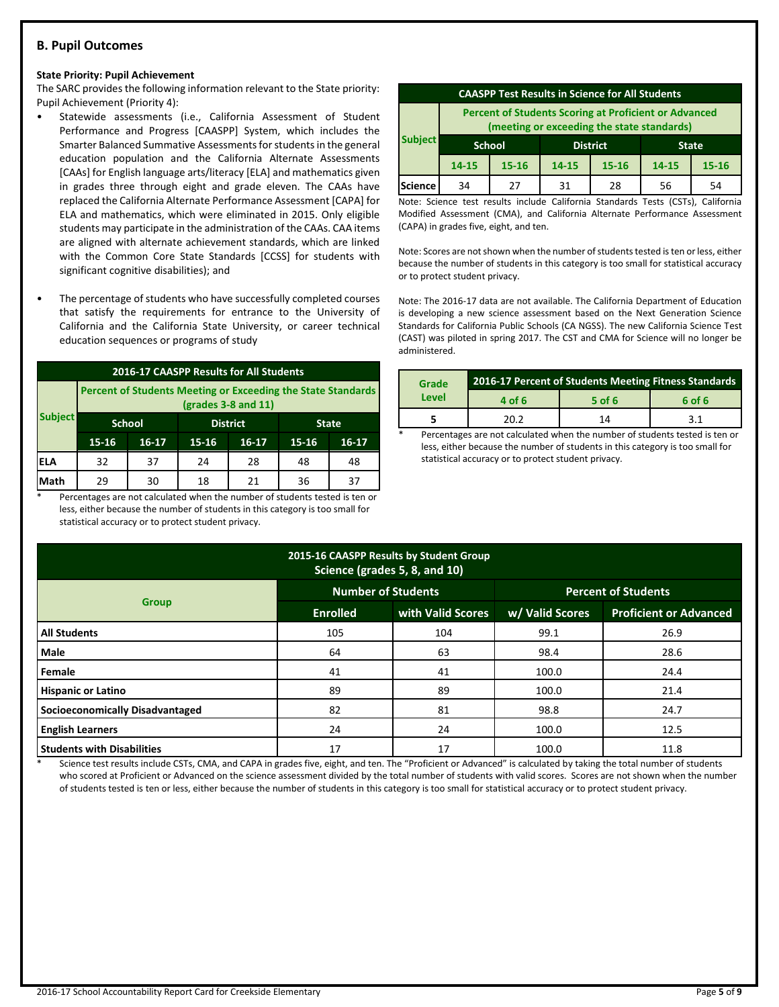## **B. Pupil Outcomes**

#### **State Priority: Pupil Achievement**

The SARC provides the following information relevant to the State priority: Pupil Achievement (Priority 4):

- Statewide assessments (i.e., California Assessment of Student Performance and Progress [CAASPP] System, which includes the Smarter Balanced Summative Assessments for students in the general education population and the California Alternate Assessments [CAAs] for English language arts/literacy [ELA] and mathematics given in grades three through eight and grade eleven. The CAAs have replaced the California Alternate Performance Assessment [CAPA] for ELA and mathematics, which were eliminated in 2015. Only eligible students may participate in the administration of the CAAs. CAA items are aligned with alternate achievement standards, which are linked with the Common Core State Standards [CCSS] for students with significant cognitive disabilities); and
- The percentage of students who have successfully completed courses that satisfy the requirements for entrance to the University of California and the California State University, or career technical education sequences or programs of study

| 2016-17 CAASPP Results for All Students |                                                                                       |                                                  |           |                  |    |    |  |  |
|-----------------------------------------|---------------------------------------------------------------------------------------|--------------------------------------------------|-----------|------------------|----|----|--|--|
|                                         | Percent of Students Meeting or Exceeding the State Standards<br>$(grades 3-8 and 11)$ |                                                  |           |                  |    |    |  |  |
| <b>Subject</b>                          |                                                                                       | <b>School</b><br><b>District</b><br><b>State</b> |           |                  |    |    |  |  |
|                                         | $15 - 16$                                                                             | 16-17                                            | $15 - 16$ | $16-17$<br>15-16 |    |    |  |  |
| <b>ELA</b>                              | 32                                                                                    | 37                                               | 24        | 28               | 48 | 48 |  |  |
| Math                                    | 29                                                                                    | 30                                               | 18        | 21               | 36 | 37 |  |  |

Percentages are not calculated when the number of students tested is ten or less, either because the number of students in this category is too small for statistical accuracy or to protect student privacy.

| <b>CAASPP Test Results in Science for All Students</b>                                                     |                                                  |           |                             |    |    |           |
|------------------------------------------------------------------------------------------------------------|--------------------------------------------------|-----------|-----------------------------|----|----|-----------|
| <b>Percent of Students Scoring at Proficient or Advanced</b><br>(meeting or exceeding the state standards) |                                                  |           |                             |    |    |           |
| <b>Subject</b>                                                                                             | <b>District</b><br><b>School</b><br><b>State</b> |           |                             |    |    |           |
|                                                                                                            | $14 - 15$                                        | $15 - 16$ | 14-15<br>$15 - 16$<br>14-15 |    |    | $15 - 16$ |
| Science                                                                                                    | 34                                               | 27        | 31                          | 28 | 56 | 54        |

Note: Science test results include California Standards Tests (CSTs), California Modified Assessment (CMA), and California Alternate Performance Assessment (CAPA) in grades five, eight, and ten.

Note: Scores are not shown when the number of students tested is ten or less, either because the number of students in this category is too small for statistical accuracy or to protect student privacy.

Note: The 2016-17 data are not available. The California Department of Education is developing a new science assessment based on the Next Generation Science Standards for California Public Schools (CA NGSS). The new California Science Test (CAST) was piloted in spring 2017. The CST and CMA for Science will no longer be administered.

| Grade | 2016-17 Percent of Students Meeting Fitness Standards |            |        |  |  |
|-------|-------------------------------------------------------|------------|--------|--|--|
| Level | 4 of 6                                                | 5 of 6     | 6 of 6 |  |  |
|       | 20.2                                                  | $1\Lambda$ | 3 1    |  |  |
|       |                                                       |            |        |  |  |

Percentages are not calculated when the number of students tested is ten or less, either because the number of students in this category is too small for statistical accuracy or to protect student privacy.

| 2015-16 CAASPP Results by Student Group<br>Science (grades 5, 8, and 10) |                           |                   |                            |                               |  |  |  |
|--------------------------------------------------------------------------|---------------------------|-------------------|----------------------------|-------------------------------|--|--|--|
|                                                                          | <b>Number of Students</b> |                   | <b>Percent of Students</b> |                               |  |  |  |
| <b>Group</b>                                                             | <b>Enrolled</b>           | with Valid Scores | w/ Valid Scores            | <b>Proficient or Advanced</b> |  |  |  |
| <b>All Students</b>                                                      | 105                       | 104               | 99.1                       | 26.9                          |  |  |  |
| <b>Male</b>                                                              | 64                        | 63                | 98.4                       | 28.6                          |  |  |  |
| Female                                                                   | 41                        | 41                | 100.0                      | 24.4                          |  |  |  |
| <b>Hispanic or Latino</b>                                                | 89                        | 89                | 100.0                      | 21.4                          |  |  |  |
| Socioeconomically Disadvantaged                                          | 82                        | 81                | 98.8                       | 24.7                          |  |  |  |
| <b>English Learners</b>                                                  | 24                        | 24                | 100.0                      | 12.5                          |  |  |  |
| <b>Students with Disabilities</b>                                        | 17                        | 17                | 100.0                      | 11.8                          |  |  |  |

Science test results include CSTs, CMA, and CAPA in grades five, eight, and ten. The "Proficient or Advanced" is calculated by taking the total number of students who scored at Proficient or Advanced on the science assessment divided by the total number of students with valid scores. Scores are not shown when the number of students tested is ten or less, either because the number of students in this category is too small for statistical accuracy or to protect student privacy.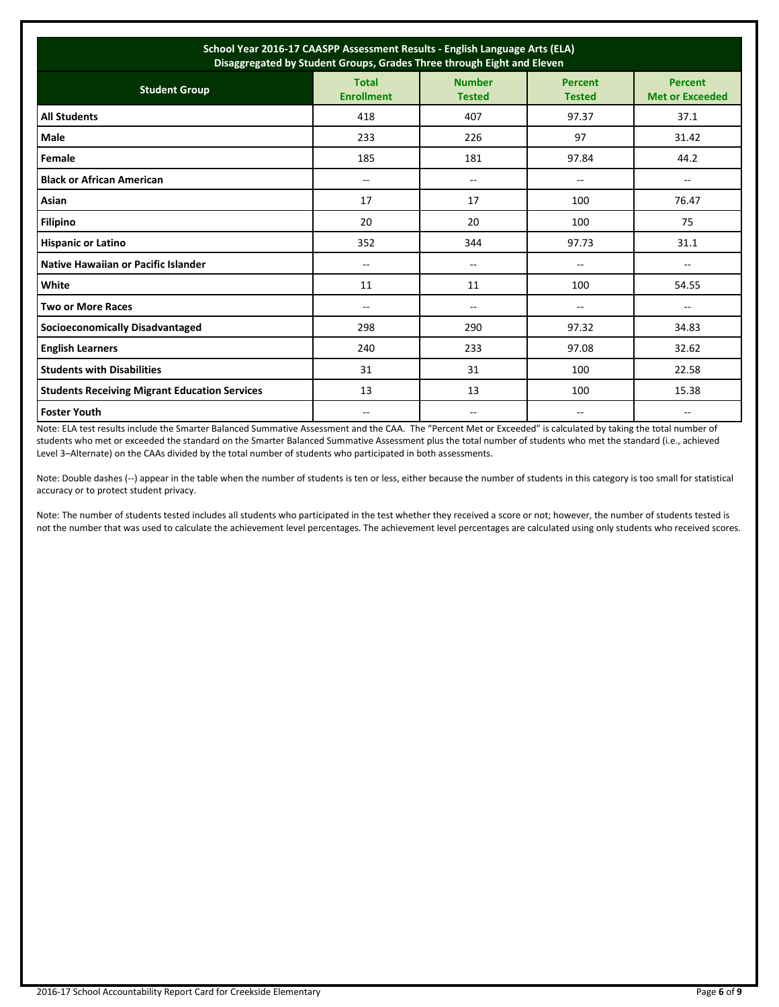| School Year 2016-17 CAASPP Assessment Results - English Language Arts (ELA)<br>Disaggregated by Student Groups, Grades Three through Eight and Eleven |                                   |                                |                                 |                                          |  |  |
|-------------------------------------------------------------------------------------------------------------------------------------------------------|-----------------------------------|--------------------------------|---------------------------------|------------------------------------------|--|--|
| <b>Student Group</b>                                                                                                                                  | <b>Total</b><br><b>Enrollment</b> | <b>Number</b><br><b>Tested</b> | <b>Percent</b><br><b>Tested</b> | <b>Percent</b><br><b>Met or Exceeded</b> |  |  |
| <b>All Students</b>                                                                                                                                   | 418                               | 407                            | 97.37                           | 37.1                                     |  |  |
| <b>Male</b>                                                                                                                                           | 233                               | 226                            | 97                              | 31.42                                    |  |  |
| Female                                                                                                                                                | 185                               | 181                            | 97.84                           | 44.2                                     |  |  |
| <b>Black or African American</b>                                                                                                                      | $- -$                             | $- -$                          | $- -$                           | $\overline{\phantom{a}}$                 |  |  |
| Asian                                                                                                                                                 | 17                                | 17                             | 100                             | 76.47                                    |  |  |
| Filipino                                                                                                                                              | 20                                | 20                             | 100                             | 75                                       |  |  |
| <b>Hispanic or Latino</b>                                                                                                                             | 352                               | 344                            | 97.73                           | 31.1                                     |  |  |
| Native Hawaiian or Pacific Islander                                                                                                                   | --                                | --                             | --                              | --                                       |  |  |
| White                                                                                                                                                 | 11                                | 11                             | 100                             | 54.55                                    |  |  |
| <b>Two or More Races</b>                                                                                                                              | $-$                               | --                             | --                              | --                                       |  |  |
| <b>Socioeconomically Disadvantaged</b>                                                                                                                | 298                               | 290                            | 97.32                           | 34.83                                    |  |  |
| <b>English Learners</b>                                                                                                                               | 240                               | 233                            | 97.08                           | 32.62                                    |  |  |
| <b>Students with Disabilities</b>                                                                                                                     | 31                                | 31                             | 100                             | 22.58                                    |  |  |
| <b>Students Receiving Migrant Education Services</b>                                                                                                  | 13                                | 13                             | 100                             | 15.38                                    |  |  |
| <b>Foster Youth</b>                                                                                                                                   | --                                |                                |                                 | --                                       |  |  |

Note: ELA test results include the Smarter Balanced Summative Assessment and the CAA. The "Percent Met or Exceeded" is calculated by taking the total number of students who met or exceeded the standard on the Smarter Balanced Summative Assessment plus the total number of students who met the standard (i.e., achieved Level 3–Alternate) on the CAAs divided by the total number of students who participated in both assessments.

Note: Double dashes (--) appear in the table when the number of students is ten or less, either because the number of students in this category is too small for statistical accuracy or to protect student privacy.

Note: The number of students tested includes all students who participated in the test whether they received a score or not; however, the number of students tested is not the number that was used to calculate the achievement level percentages. The achievement level percentages are calculated using only students who received scores.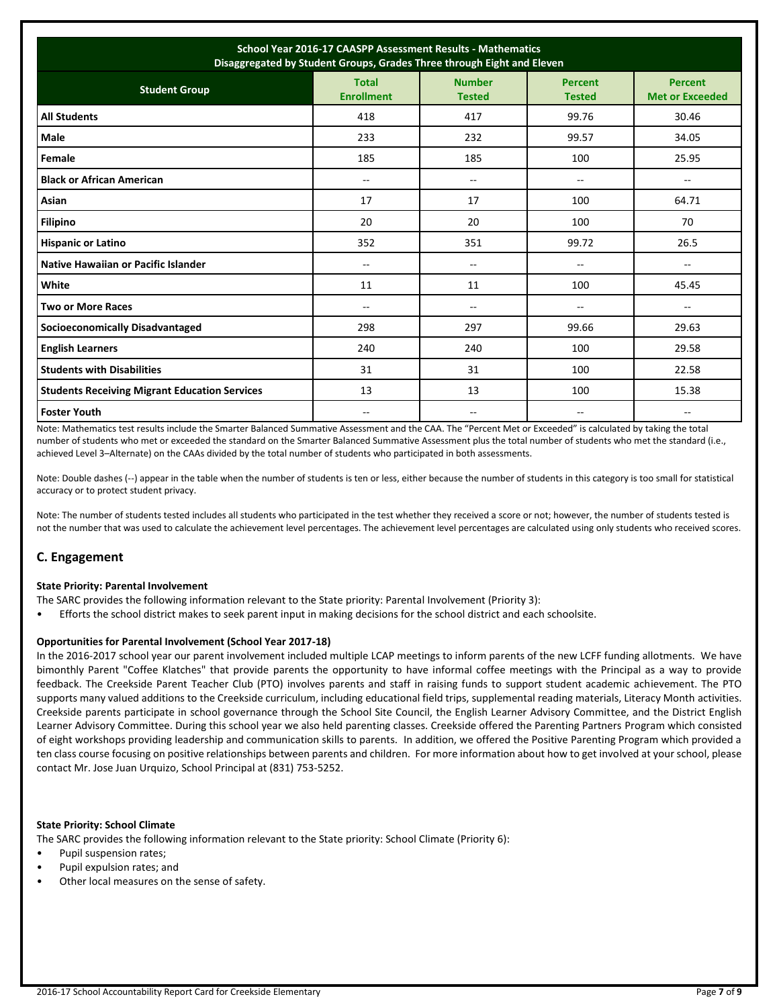| School Year 2016-17 CAASPP Assessment Results - Mathematics<br>Disaggregated by Student Groups, Grades Three through Eight and Eleven |                                   |                                |                                 |                                   |  |  |
|---------------------------------------------------------------------------------------------------------------------------------------|-----------------------------------|--------------------------------|---------------------------------|-----------------------------------|--|--|
| <b>Student Group</b>                                                                                                                  | <b>Total</b><br><b>Enrollment</b> | <b>Number</b><br><b>Tested</b> | <b>Percent</b><br><b>Tested</b> | Percent<br><b>Met or Exceeded</b> |  |  |
| <b>All Students</b>                                                                                                                   | 418                               | 417                            | 99.76                           | 30.46                             |  |  |
| <b>Male</b>                                                                                                                           | 233                               | 232                            | 99.57                           | 34.05                             |  |  |
| Female                                                                                                                                | 185                               | 185                            | 100                             | 25.95                             |  |  |
| <b>Black or African American</b>                                                                                                      | $-$                               | --                             | $\overline{\phantom{a}}$        | --                                |  |  |
| Asian                                                                                                                                 | 17                                | 17                             | 100                             | 64.71                             |  |  |
| <b>Filipino</b>                                                                                                                       | 20                                | 20                             | 100                             | 70                                |  |  |
| <b>Hispanic or Latino</b>                                                                                                             | 352                               | 351                            | 99.72                           | 26.5                              |  |  |
| Native Hawaiian or Pacific Islander                                                                                                   | $-$                               | --                             | --                              | $\overline{\phantom{a}}$          |  |  |
| White                                                                                                                                 | 11                                | 11                             | 100                             | 45.45                             |  |  |
| <b>Two or More Races</b>                                                                                                              | $-$                               | $- -$                          | $-$                             | $\overline{\phantom{a}}$          |  |  |
| <b>Socioeconomically Disadvantaged</b>                                                                                                | 298                               | 297                            | 99.66                           | 29.63                             |  |  |
| <b>English Learners</b>                                                                                                               | 240                               | 240                            | 100                             | 29.58                             |  |  |
| <b>Students with Disabilities</b>                                                                                                     | 31                                | 31                             | 100                             | 22.58                             |  |  |
| <b>Students Receiving Migrant Education Services</b>                                                                                  | 13                                | 13                             | 100                             | 15.38                             |  |  |
| <b>Foster Youth</b>                                                                                                                   | $-$                               | $-$                            | $-$                             | $-$                               |  |  |

Note: Mathematics test results include the Smarter Balanced Summative Assessment and the CAA. The "Percent Met or Exceeded" is calculated by taking the total number of students who met or exceeded the standard on the Smarter Balanced Summative Assessment plus the total number of students who met the standard (i.e., achieved Level 3–Alternate) on the CAAs divided by the total number of students who participated in both assessments.

Note: Double dashes (--) appear in the table when the number of students is ten or less, either because the number of students in this category is too small for statistical accuracy or to protect student privacy.

Note: The number of students tested includes all students who participated in the test whether they received a score or not; however, the number of students tested is not the number that was used to calculate the achievement level percentages. The achievement level percentages are calculated using only students who received scores.

## **C. Engagement**

#### **State Priority: Parental Involvement**

The SARC provides the following information relevant to the State priority: Parental Involvement (Priority 3):

• Efforts the school district makes to seek parent input in making decisions for the school district and each schoolsite.

## **Opportunities for Parental Involvement (School Year 2017-18)**

In the 2016-2017 school year our parent involvement included multiple LCAP meetings to inform parents of the new LCFF funding allotments. We have bimonthly Parent "Coffee Klatches" that provide parents the opportunity to have informal coffee meetings with the Principal as a way to provide feedback. The Creekside Parent Teacher Club (PTO) involves parents and staff in raising funds to support student academic achievement. The PTO supports many valued additions to the Creekside curriculum, including educational field trips, supplemental reading materials, Literacy Month activities. Creekside parents participate in school governance through the School Site Council, the English Learner Advisory Committee, and the District English Learner Advisory Committee. During this school year we also held parenting classes. Creekside offered the Parenting Partners Program which consisted of eight workshops providing leadership and communication skills to parents. In addition, we offered the Positive Parenting Program which provided a ten class course focusing on positive relationships between parents and children. For more information about how to get involved at your school, please contact Mr. Jose Juan Urquizo, School Principal at (831) 753-5252.

## **State Priority: School Climate**

The SARC provides the following information relevant to the State priority: School Climate (Priority 6):

- Pupil suspension rates;
- Pupil expulsion rates; and
- Other local measures on the sense of safety.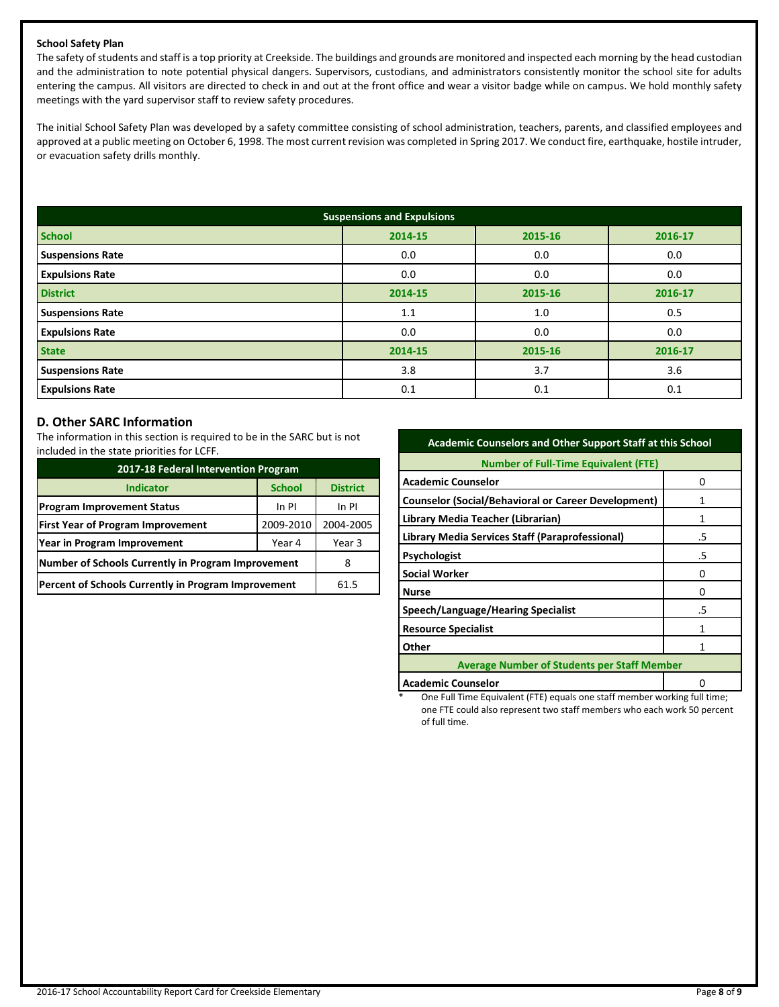## **School Safety Plan**

The safety of students and staff is a top priority at Creekside. The buildings and grounds are monitored and inspected each morning by the head custodian and the administration to note potential physical dangers. Supervisors, custodians, and administrators consistently monitor the school site for adults entering the campus. All visitors are directed to check in and out at the front office and wear a visitor badge while on campus. We hold monthly safety meetings with the yard supervisor staff to review safety procedures.

The initial School Safety Plan was developed by a safety committee consisting of school administration, teachers, parents, and classified employees and approved at a public meeting on October 6, 1998. The most current revision was completed in Spring 2017. We conduct fire, earthquake, hostile intruder, or evacuation safety drills monthly.

| <b>Suspensions and Expulsions</b> |         |         |         |  |  |  |
|-----------------------------------|---------|---------|---------|--|--|--|
| <b>School</b>                     | 2014-15 | 2015-16 | 2016-17 |  |  |  |
| <b>Suspensions Rate</b>           | 0.0     | 0.0     | 0.0     |  |  |  |
| <b>Expulsions Rate</b>            | 0.0     | 0.0     | 0.0     |  |  |  |
| <b>District</b>                   | 2014-15 | 2015-16 | 2016-17 |  |  |  |
| <b>Suspensions Rate</b>           | 1.1     | 1.0     | 0.5     |  |  |  |
| <b>Expulsions Rate</b>            | 0.0     | 0.0     | 0.0     |  |  |  |
| <b>State</b>                      | 2014-15 | 2015-16 | 2016-17 |  |  |  |
| <b>Suspensions Rate</b>           | 3.8     | 3.7     | 3.6     |  |  |  |
| <b>Expulsions Rate</b>            | 0.1     | 0.1     | 0.1     |  |  |  |

## **D. Other SARC Information**

The information in this section is required to be in the SARC but is not included in the state priorities for LCFF.

| 2017-18 Federal Intervention Program                |               |                 |  |  |  |
|-----------------------------------------------------|---------------|-----------------|--|--|--|
| <b>Indicator</b>                                    | <b>School</b> | <b>District</b> |  |  |  |
| <b>Program Improvement Status</b>                   | In PI         |                 |  |  |  |
| <b>First Year of Program Improvement</b>            | 2004-2005     |                 |  |  |  |
| Year in Program Improvement                         | Year 3        |                 |  |  |  |
| Number of Schools Currently in Program Improvement  |               |                 |  |  |  |
| Percent of Schools Currently in Program Improvement | 61.5          |                 |  |  |  |

| <b>Academic Counselors and Other Support Staff at this School</b> |    |  |  |  |  |
|-------------------------------------------------------------------|----|--|--|--|--|
| <b>Number of Full-Time Equivalent (FTE)</b>                       |    |  |  |  |  |
| <b>Academic Counselor</b>                                         | n  |  |  |  |  |
| <b>Counselor (Social/Behavioral or Career Development)</b>        | 1  |  |  |  |  |
| Library Media Teacher (Librarian)                                 | 1  |  |  |  |  |
| Library Media Services Staff (Paraprofessional)                   | .5 |  |  |  |  |
| <b>Psychologist</b>                                               | .5 |  |  |  |  |
| <b>Social Worker</b>                                              | Ω  |  |  |  |  |
| <b>Nurse</b>                                                      | O  |  |  |  |  |
| Speech/Language/Hearing Specialist                                | .5 |  |  |  |  |
| <b>Resource Specialist</b>                                        | 1  |  |  |  |  |
| Other                                                             | 1  |  |  |  |  |
| <b>Average Number of Students per Staff Member</b>                |    |  |  |  |  |
| <b>Academic Counselor</b>                                         |    |  |  |  |  |

One Full Time Equivalent (FTE) equals one staff member working full time; one FTE could also represent two staff members who each work 50 percent of full time.